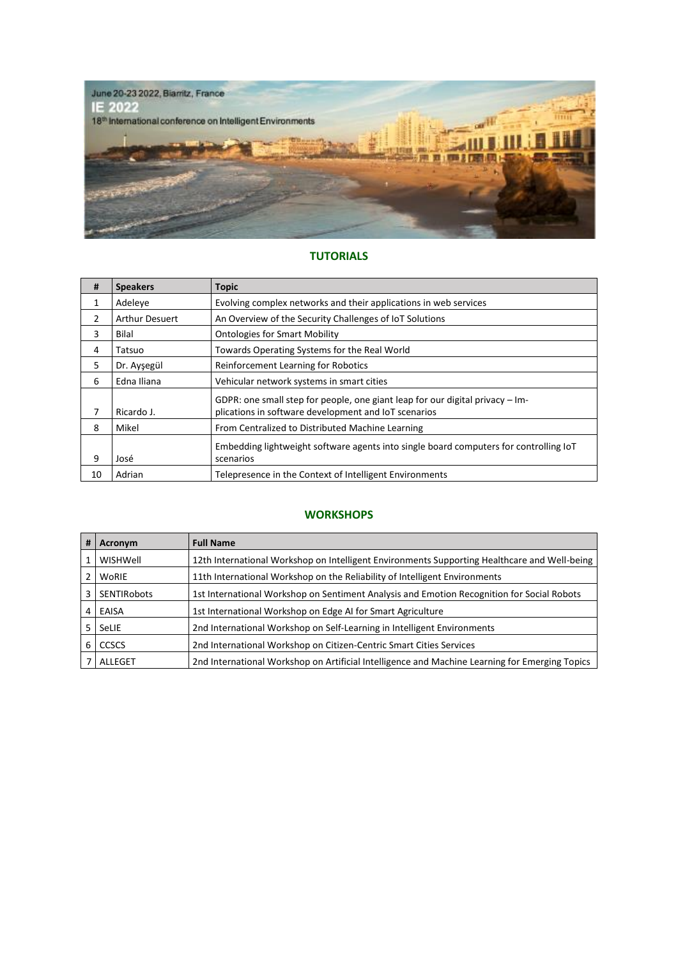

# **TUTORIALS**

| #  | <b>Speakers</b>       | <b>Topic</b>                                                                                                                            |  |  |  |  |  |
|----|-----------------------|-----------------------------------------------------------------------------------------------------------------------------------------|--|--|--|--|--|
| 1  | Adeleye               | Evolving complex networks and their applications in web services                                                                        |  |  |  |  |  |
| 2  | <b>Arthur Desuert</b> | An Overview of the Security Challenges of IoT Solutions                                                                                 |  |  |  |  |  |
| 3  | Bilal                 | <b>Ontologies for Smart Mobility</b>                                                                                                    |  |  |  |  |  |
| 4  | Tatsuo                | Towards Operating Systems for the Real World                                                                                            |  |  |  |  |  |
| 5  | Dr. Ayşegül           | Reinforcement Learning for Robotics                                                                                                     |  |  |  |  |  |
| 6  | Edna Iliana           | Vehicular network systems in smart cities                                                                                               |  |  |  |  |  |
| 7  | Ricardo J.            | GDPR: one small step for people, one giant leap for our digital privacy $-$ Im-<br>plications in software development and IoT scenarios |  |  |  |  |  |
| 8  | Mikel                 | From Centralized to Distributed Machine Learning                                                                                        |  |  |  |  |  |
| 9  | José                  | Embedding lightweight software agents into single board computers for controlling IoT<br>scenarios                                      |  |  |  |  |  |
| 10 | Adrian                | Telepresence in the Context of Intelligent Environments                                                                                 |  |  |  |  |  |

## **WORKSHOPS**

| # | Acronym            | <b>Full Name</b>                                                                               |
|---|--------------------|------------------------------------------------------------------------------------------------|
|   | WISHWell           | 12th International Workshop on Intelligent Environments Supporting Healthcare and Well-being   |
|   | WoRIE              | 11th International Workshop on the Reliability of Intelligent Environments                     |
| 3 | <b>SENTIRobots</b> | 1st International Workshop on Sentiment Analysis and Emotion Recognition for Social Robots     |
| 4 | EAISA              | 1st International Workshop on Edge AI for Smart Agriculture                                    |
|   | SeLIE              | 2nd International Workshop on Self-Learning in Intelligent Environments                        |
| 6 | <b>CCSCS</b>       | 2nd International Workshop on Citizen-Centric Smart Cities Services                            |
|   | ALLEGET            | 2nd International Workshop on Artificial Intelligence and Machine Learning for Emerging Topics |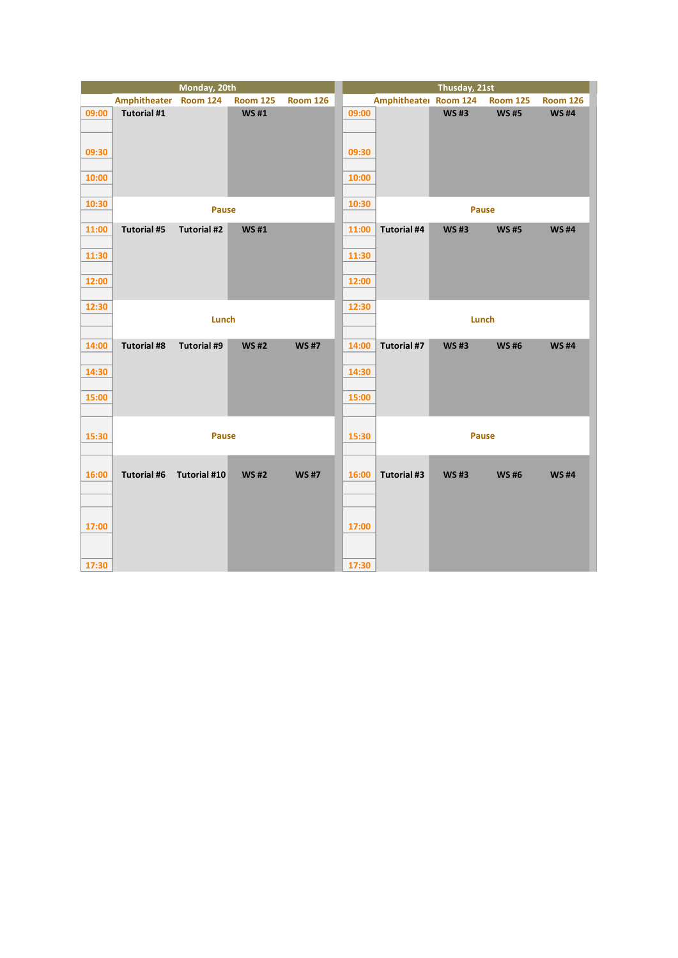|                         | Monday, 20th          |                    |                 |                 |                         | Thusday, 21st         |             |                 |                 |  |
|-------------------------|-----------------------|--------------------|-----------------|-----------------|-------------------------|-----------------------|-------------|-----------------|-----------------|--|
|                         | Amphitheater Room 124 |                    | <b>Room 125</b> | <b>Room 126</b> |                         | Amphitheater Room 124 |             | <b>Room 125</b> | <b>Room 126</b> |  |
| 09:00<br>09:30          | <b>Tutorial #1</b>    |                    | <b>WS#1</b>     |                 | 09:00<br>09:30          |                       | <b>WS#3</b> | <b>WS#5</b>     | <b>WS#4</b>     |  |
| 10:00                   |                       |                    |                 |                 | 10:00                   |                       |             |                 |                 |  |
| 10:30                   | <b>Pause</b>          |                    |                 |                 | 10:30                   | <b>Pause</b>          |             |                 |                 |  |
| 11:00<br>11:30<br>12:00 | <b>Tutorial #5</b>    | <b>Tutorial #2</b> | <b>WS#1</b>     |                 | 11:00<br>11:30          | <b>Tutorial #4</b>    | <b>WS#3</b> | <b>WS#5</b>     | <b>WS#4</b>     |  |
| 12:30                   |                       |                    |                 |                 | 12:00<br>12:30          |                       |             |                 |                 |  |
|                         | Lunch                 |                    |                 |                 |                         | Lunch                 |             |                 |                 |  |
| 14:00<br>14:30<br>15:00 | <b>Tutorial #8</b>    | <b>Tutorial #9</b> | <b>WS#2</b>     | <b>WS#7</b>     | 14:00<br>14:30<br>15:00 | <b>Tutorial #7</b>    | <b>WS#3</b> | <b>WS#6</b>     | <b>WS#4</b>     |  |
|                         |                       |                    |                 |                 |                         |                       |             |                 |                 |  |
| 15:30                   | <b>Pause</b>          |                    |                 |                 | 15:30                   | <b>Pause</b>          |             |                 |                 |  |
| 16:00                   | <b>Tutorial #6</b>    | Tutorial #10       | <b>WS#2</b>     | <b>WS#7</b>     | 16:00                   | Tutorial #3           | <b>WS#3</b> | <b>WS#6</b>     | <b>WS#4</b>     |  |
| 17:00                   |                       |                    |                 |                 | 17:00                   |                       |             |                 |                 |  |
| 17:30                   |                       |                    |                 |                 | 17:30                   |                       |             |                 |                 |  |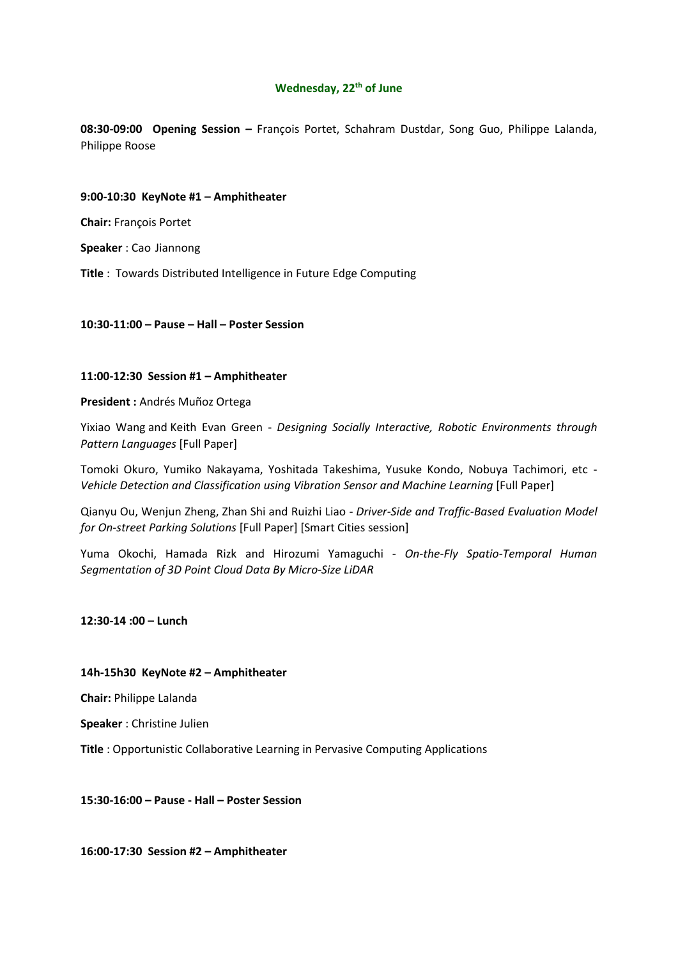# **Wednesday, 22 th of June**

**08:30-09:00 Opening Session –** François Portet, Schahram Dustdar, Song Guo, Philippe Lalanda, Philippe Roose

#### **9:00-10:30 KeyNote #1 – Amphitheater**

**Chair:** François Portet

**Speaker** : Cao Jiannong

**Title** : Towards Distributed Intelligence in Future Edge Computing

## **10:30-11:00 – Pause – Hall – Poster Session**

#### **11:00-12:30 Session #1 – Amphitheater**

**President :** Andrés Muñoz Ortega

Yixiao Wang and Keith Evan Green - *Designing Socially Interactive, Robotic Environments through Pattern Languages* [Full Paper]

Tomoki Okuro, Yumiko Nakayama, Yoshitada Takeshima, Yusuke Kondo, Nobuya Tachimori, etc - *Vehicle Detection and Classification using Vibration Sensor and Machine Learning* [Full Paper]

Qianyu Ou, Wenjun Zheng, Zhan Shi and Ruizhi Liao - *Driver-Side and Traffic-Based Evaluation Model for On-street Parking Solutions* [Full Paper] [Smart Cities session]

Yuma Okochi, Hamada Rizk and Hirozumi Yamaguchi - *On-the-Fly Spatio-Temporal Human Segmentation of 3D Point Cloud Data By Micro-Size LiDAR*

**12:30-14 :00 – Lunch** 

#### **14h-15h30 KeyNote #2 – Amphitheater**

**Chair:** Philippe Lalanda

**Speaker** : Christine Julien

**Title** : Opportunistic Collaborative Learning in Pervasive Computing Applications

#### **15:30-16:00 – Pause - Hall – Poster Session**

#### **16:00-17:30 Session #2 – Amphitheater**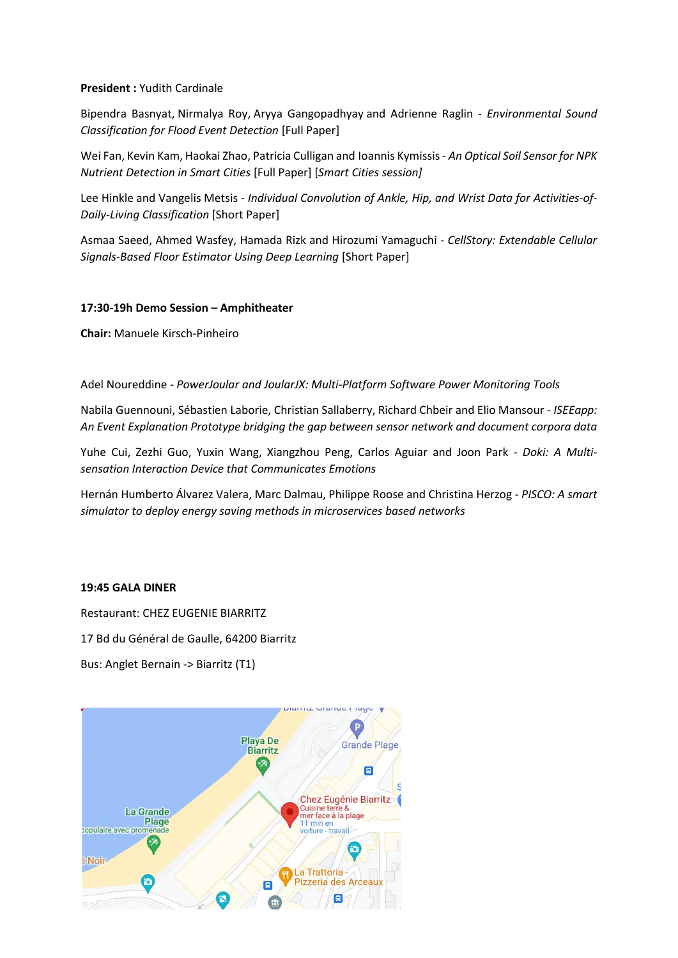## **President :** Yudith Cardinale

Bipendra Basnyat, Nirmalya Roy, Aryya Gangopadhyay and Adrienne Raglin - *Environmental Sound Classification for Flood Event Detection* [Full Paper]

Wei Fan, Kevin Kam, Haokai Zhao, Patricia Culligan and Ioannis Kymissis- *An Optical Soil Sensor for NPK Nutrient Detection in Smart Cities* [Full Paper] [*Smart Cities session]*

Lee Hinkle and Vangelis Metsis - *Individual Convolution of Ankle, Hip, and Wrist Data for Activities-of-Daily-Living Classification* [Short Paper]

Asmaa Saeed, Ahmed Wasfey, Hamada Rizk and Hirozumi Yamaguchi - *CellStory: Extendable Cellular Signals-Based Floor Estimator Using Deep Learning* [Short Paper]

## **17:30-19h Demo Session – Amphitheater**

**Chair:** Manuele Kirsch-Pinheiro

Adel Noureddine - *PowerJoular and JoularJX: Multi-Platform Software Power Monitoring Tools*

Nabila Guennouni, Sébastien Laborie, Christian Sallaberry, Richard Chbeir and Elio Mansour - *ISEEapp: An Event Explanation Prototype bridging the gap between sensor network and document corpora data*

Yuhe Cui, Zezhi Guo, Yuxin Wang, Xiangzhou Peng, Carlos Aguiar and Joon Park - *Doki: A Multisensation Interaction Device that Communicates Emotions*

Hernán Humberto Álvarez Valera, Marc Dalmau, Philippe Roose and Christina Herzog - *PISCO: A smart simulator to deploy energy saving methods in microservices based networks*

#### **19:45 GALA DINER**

Restaurant: CHEZ EUGENIE BIARRITZ

17 Bd du Général de Gaulle, 64200 Biarritz

Bus: Anglet Bernain -> Biarritz (T1)

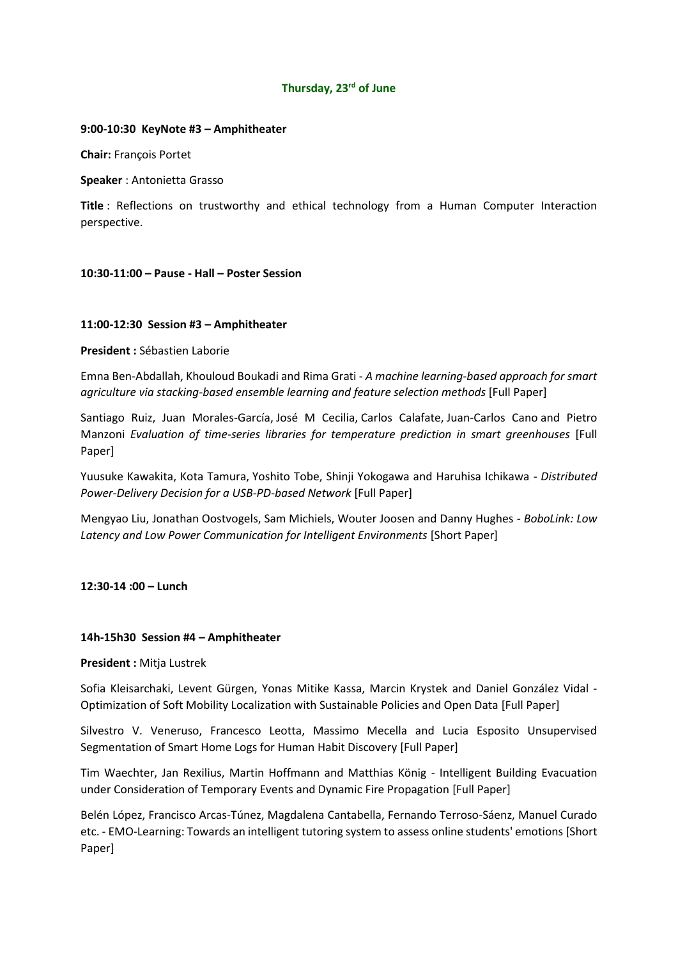## **Thursday, 23rd of June**

## **9:00-10:30 KeyNote #3 – Amphitheater**

**Chair:** François Portet

**Speaker** : Antonietta Grasso

**Title** : Reflections on trustworthy and ethical technology from a Human Computer Interaction perspective.

## **10:30-11:00 – Pause - Hall – Poster Session**

## **11:00-12:30 Session #3 – Amphitheater**

**President :** Sébastien Laborie

Emna Ben-Abdallah, Khouloud Boukadi and Rima Grati - *A machine learning-based approach for smart agriculture via stacking-based ensemble learning and feature selection methods* [Full Paper]

Santiago Ruiz, Juan Morales-García, José M Cecilia, Carlos Calafate, Juan-Carlos Cano and Pietro Manzoni *Evaluation of time-series libraries for temperature prediction in smart greenhouses* [Full Paper]

Yuusuke Kawakita, Kota Tamura, Yoshito Tobe, Shinji Yokogawa and Haruhisa Ichikawa - *Distributed Power-Delivery Decision for a USB-PD-based Network* [Full Paper]

Mengyao Liu, Jonathan Oostvogels, Sam Michiels, Wouter Joosen and Danny Hughes *- BoboLink: Low Latency and Low Power Communication for Intelligent Environments* [Short Paper]

**12:30-14 :00 – Lunch** 

#### **14h-15h30 Session #4 – Amphitheater**

#### **President :** Mitja Lustrek

Sofia Kleisarchaki, Levent Gürgen, Yonas Mitike Kassa, Marcin Krystek and Daniel González Vidal - Optimization of Soft Mobility Localization with Sustainable Policies and Open Data [Full Paper]

Silvestro V. Veneruso, Francesco Leotta, Massimo Mecella and Lucia Esposito Unsupervised Segmentation of Smart Home Logs for Human Habit Discovery [Full Paper]

Tim Waechter, Jan Rexilius, Martin Hoffmann and Matthias König - Intelligent Building Evacuation under Consideration of Temporary Events and Dynamic Fire Propagation [Full Paper]

Belén López, Francisco Arcas-Túnez, Magdalena Cantabella, Fernando Terroso-Sáenz, Manuel Curado etc. - EMO-Learning: Towards an intelligent tutoring system to assess online students' emotions [Short Paper]